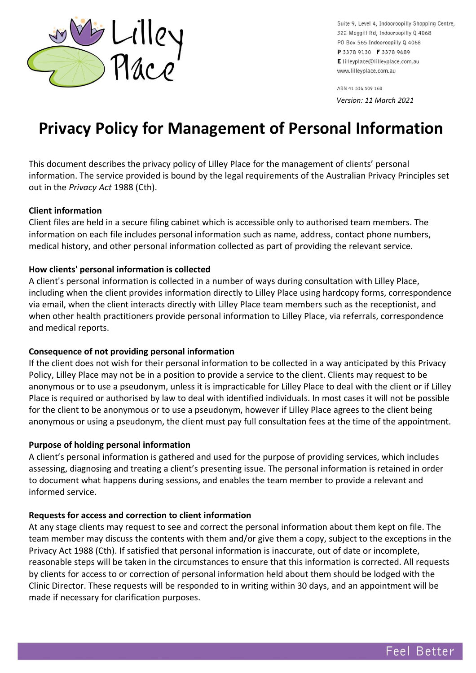

Suite 9, Level 4, Indooroopilly Shopping Centre, 322 Moggill Rd, Indooroopilly Q 4068 PO Box 565 Indooroopilly Q 4068 P 3378 9130 F 3378 9689 E lilleyplace@lilleyplace.com.au www.lilleyplace.com.au

ABN 41 536 509 168

*Version: 11 March 2021*

# **Privacy Policy for Management of Personal Information**

This document describes the privacy policy of Lilley Place for the management of clients' personal information. The service provided is bound by the legal requirements of the Australian Privacy Principles set out in the *Privacy Act* 1988 (Cth).

#### **Client information**

Client files are held in a secure filing cabinet which is accessible only to authorised team members. The information on each file includes personal information such as name, address, contact phone numbers, medical history, and other personal information collected as part of providing the relevant service.

#### **How clients' personal information is collected**

A client's personal information is collected in a number of ways during consultation with Lilley Place, including when the client provides information directly to Lilley Place using hardcopy forms, correspondence via email, when the client interacts directly with Lilley Place team members such as the receptionist, and when other health practitioners provide personal information to Lilley Place, via referrals, correspondence and medical reports.

#### **Consequence of not providing personal information**

If the client does not wish for their personal information to be collected in a way anticipated by this Privacy Policy, Lilley Place may not be in a position to provide a service to the client. Clients may request to be anonymous or to use a pseudonym, unless it is impracticable for Lilley Place to deal with the client or if Lilley Place is required or authorised by law to deal with identified individuals. In most cases it will not be possible for the client to be anonymous or to use a pseudonym, however if Lilley Place agrees to the client being anonymous or using a pseudonym, the client must pay full consultation fees at the time of the appointment.

#### **Purpose of holding personal information**

A client's personal information is gathered and used for the purpose of providing services, which includes assessing, diagnosing and treating a client's presenting issue. The personal information is retained in order to document what happens during sessions, and enables the team member to provide a relevant and informed service.

#### **Requests for access and correction to client information**

At any stage clients may request to see and correct the personal information about them kept on file. The team member may discuss the contents with them and/or give them a copy, subject to the exceptions in the Privacy Act 1988 (Cth). If satisfied that personal information is inaccurate, out of date or incomplete, reasonable steps will be taken in the circumstances to ensure that this information is corrected. All requests by clients for access to or correction of personal information held about them should be lodged with the Clinic Director. These requests will be responded to in writing within 30 days, and an appointment will be made if necessary for clarification purposes.